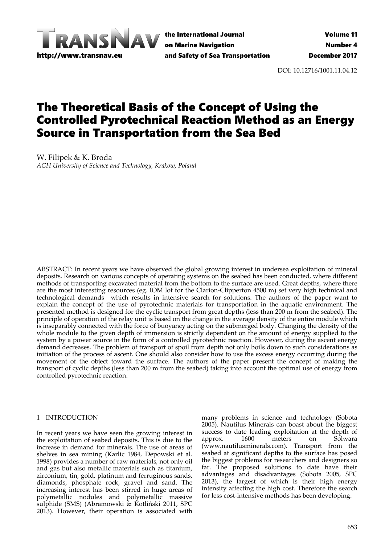

the International Journal on Marine Navigation and Safety of Sea Transportation

DOI: 10.12716/1001.11.04.12

# The Theoretical Basis of the Concept of Using the Controlled Pyrotechnical Reaction Method as an Energy Source in Transportation from the Sea Bed

W. Filipek & K. Broda *AGH University of Science and Technology, Krakow, Poland*

ABSTRACT: In recent years we have observed the global growing interest in undersea exploitation of mineral deposits. Research on various concepts of operating systems on the seabed has been conducted, where different methods of transporting excavated material from the bottom to the surface are used. Great depths, where there are the most interesting resources (eg. IOM lot for the Clarion‐Clipperton 4500 m) set very high technical and technological demands which results in intensive search for solutions. The authors of the paper want to explain the concept of the use of pyrotechnic materials for transportation in the aquatic environment. The presented method is designed for the cyclic transport from great depths (less than 200 m from the seabed). The principle of operation of the relay unit is based on the change in the average density of the entire module which is inseparably connected with the force of buoyancy acting on the submerged body. Changing the density of the whole module to the given depth of immersion is strictly dependent on the amount of energy supplied to the system by a power source in the form of a controlled pyrotechnic reaction. However, during the ascent energy demand decreases. The problem of transport of spoil from depth not only boils down to such considerations as initiation of the process of ascent. One should also consider how to use the excess energy occurring during the movement of the object toward the surface. The authors of the paper present the concept of making the transport of cyclic depths (less than 200 m from the seabed) taking into account the optimal use of energy from controlled pyrotechnic reaction.

## 1 INTRODUCTION

In recent years we have seen the growing interest in the exploitation of seabed deposits. This is due to the increase in demand for minerals. The use of areas of shelves in sea mining (Karlic 1984, Depowski et al. 1998) provides a number of raw materials, not only oil and gas but also metallic materials such as titanium, zirconium, tin, gold, platinum and ferruginous sands, diamonds, phosphate rock, gravel and sand. The increasing interest has been stirred in huge areas of polymetallic nodules and polymetallic massive sulphide (SMS) (Abramowski & Kotliński 2011, SPC 2013). However, their operation is associated with

many problems in science and technology (Sobota 2005). Nautilus Minerals can boast about the biggest success to date leading exploitation at the depth of approx. 1600 meters on Solwara (www.nautilusminerals.com). Transport from the seabed at significant depths to the surface has posed the biggest problems for researchers and designers so far. The proposed solutions to date have their advantages and disadvantages (Sobota 2005, SPC 2013), the largest of which is their high energy intensity affecting the high cost. Therefore the search for less cost-intensive methods has been developing.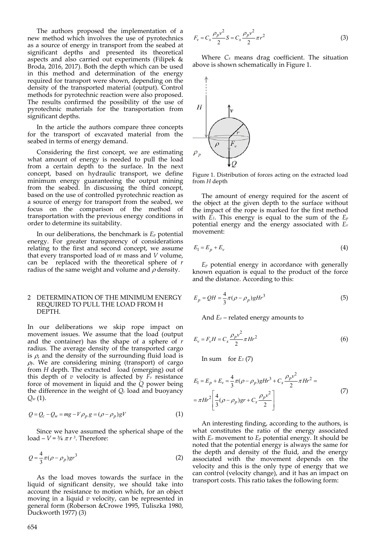The authors proposed the implementation of a new method which involves the use of pyrotechnics as a source of energy in transport from the seabed at significant depths and presented its theoretical aspects and also carried out experiments (Filipek & Broda, 2016, 2017). Both the depth which can be used in this method and determination of the energy required for transport were shown, depending on the density of the transported material (output). Control methods for pyrotechnic reaction were also proposed. The results confirmed the possibility of the use of pyrotechnic materials for the transportation from significant depths.

In the article the authors compare three concepts for the transport of excavated material from the seabed in terms of energy demand.

Considering the first concept, we are estimating what amount of energy is needed to pull the load from a certain depth to the surface. In the next concept, based on hydraulic transport, we define minimum energy guaranteeing the output mining from the seabed. In discussing the third concept, based on the use of controlled pyrotechnic reaction as a source of energy for transport from the seabed, we focus on the comparison of the method of transportation with the previous energy conditions in order to determine its suitability.

In our deliberations, the benchmark is  $E_p$  potential energy. For greater transparency of considerations relating to the first and second concept, we assume that every transported load of *m* mass and *V* volume, can be replaced with the theoretical sphere of *r* radius of the same weight and volume and  $\rho$  density.

# 2 DETERMINATION OF THE MINIMUM ENERGY REQUIRED TO PULL THE LOAD FROM H DEPTH.

In our deliberations we skip rope impact on movement issues. We assume that the load (output and the container) has the shape of a sphere of *r* radius. The average density of the transported cargo is  $\rho$ , and the density of the surrounding fluid load is  $\rho_{P}$ . We are considering mining (transport) of cargo from *H* depth. The extracted load (emerging) out of this depth of  $v$  velocity is affected by  $\vec{F}_v$  resistance force of movement in liquid and the *Q* power being the difference in the weight of *Qc* load and buoyancy *Qw* (1).

$$
Q = Q_c - Q_w = mg - V \rho_p g = (\rho - \rho_p)gV
$$
 (1)

Since we have assumed the spherical shape of the load  $-V = \frac{3}{4} \pi r^3$ . Therefore:

$$
Q = \frac{4}{3}\pi(\rho - \rho_p)gr^3
$$
 (2)

As the load moves towards the surface in the liquid of significant density, we should take into account the resistance to motion which, for an object moving in a liquid *v* velocity, can be represented in general form (Roberson &Crowe 1995, Tuliszka 1980, Duckworth 1977) (3)

$$
F_v = C_x \frac{\rho_p v^2}{2} S = C_x \frac{\rho_p v^2}{2} \pi r^2
$$
 (3)

Where *Cx* means drag coefficient. The situation above is shown schematically in Figure 1.



Figure 1. Distribution of forces acting on the extracted load from *H* depth

The amount of energy required for the ascent of the object at the given depth to the surface without the impact of the rope is marked for the first method with *E1*. This energy is equal to the sum of the *Ep* potential energy and the energy associated with *Ev* movement:

$$
E_1 = E_p + E_v \tag{4}
$$

*Ep* potential energy in accordance with generally known equation is equal to the product of the force and the distance. According to this:

$$
E_p = QH = \frac{4}{3}\pi(\rho - \rho_p)gHr^3\tag{5}
$$

And *Ev* – related energy amounts to

$$
E_{v} = F_{v}H = C_{x} \frac{\rho_{p} v^{2}}{2} \pi H r^{2}
$$
 (6)

In sum for  $E_1$  (7)

$$
E_1 = E_p + E_v = \frac{4}{3}\pi(\rho - \rho_p)gHr^3 + C_x \frac{\rho_p v^2}{2}\pi Hr^2 =
$$
  
=  $\pi Hr^2 \left[ \frac{4}{3}(\rho - \rho_p)gr + C_x \frac{\rho_p v^2}{2} \right]$  (7)

An interesting finding, according to the authors, is what constitutes the ratio of the energy associated with  $E_v$  movement to  $E_p$  potential energy. It should be noted that the potential energy is always the same for the depth and density of the fluid, and the energy associated with the movement depends on the velocity and this is the only type of energy that we can control (velocity change), and it has an impact on transport costs. This ratio takes the following form: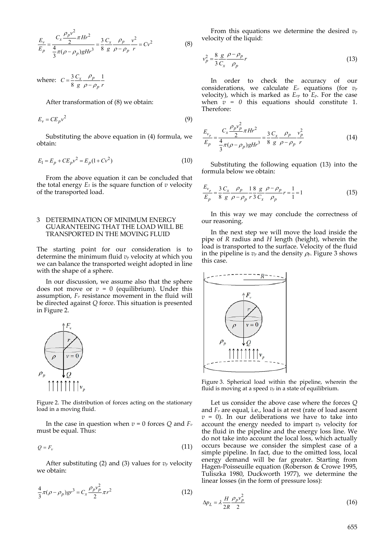$$
\frac{E_v}{E_p} = \frac{C_x \frac{\rho_p v^2}{2} \pi H r^2}{\frac{4}{3} \pi (\rho - \rho_p) g H r^3} = \frac{3}{8} \frac{C_x}{g} \frac{\rho_p}{\rho - \rho_p} \frac{v^2}{r} = C v^2
$$
(8)

where:  $C = \frac{3}{8} \frac{C_x}{g} \frac{\rho_p}{\rho - \rho_n} \frac{1}{r}$  $\frac{p}{x}$  *p p*  $C = \frac{3}{8} \frac{C_x}{g} \frac{\rho_p}{\rho - \rho_n} \frac{1}{r}$  $=\frac{3}{8}\frac{C_x}{g}\frac{\rho_p}{\rho-\rho}$ 

After transformation of (8) we obtain:

$$
E_v = CE_p v^2 \tag{9}
$$

Substituting the above equation in (4) formula, we obtain:

$$
E_1 = E_p + CE_p v^2 = E_p (1 + Cv^2)
$$
\n(10)

From the above equation it can be concluded that the total energy  $E_1$  is the square function of  $v$  velocity of the transported load.

# 3 DETERMINATION OF MINIMUM ENERGY GUARANTEEING THAT THE LOAD WILL BE TRANSPORTED IN THE MOVING FLUID

The starting point for our consideration is to determine the minimum fluid *vp* velocity at which you we can balance the transported weight adopted in line with the shape of a sphere.

In our discussion, we assume also that the sphere does not move or  $v = 0$  (equilibrium). Under this assumption,  $F_v$  resistance movement in the fluid will be directed against *Q* force. This situation is presented in Figure 2.



Figure 2. The distribution of forces acting on the stationary load in a moving fluid.

In the case in question when  $v = 0$  forces  $Q$  and  $F_v$ must be equal. Thus:

$$
Q = F_v \tag{11}
$$

After substituting (2) and (3) values for  $v_p$  velocity we obtain:

$$
\frac{4}{3}\pi(\rho - \rho_p)gr^3 = C_x \frac{\rho_p v_p^2}{2} \pi r^2
$$
\n(12)

From this equations we determine the desired *vp* velocity of the liquid:

$$
v_p^2 = \frac{8}{3} \frac{g}{C_x} \frac{\rho - \rho_p}{\rho_p} r \tag{13}
$$

In order to check the accuracy of our considerations, we calculate *Ev* equations (for *vp* velocity), which is marked as *Evp* to *Ep*. For the case when  $v = 0$  this equations should constitute 1. Therefore:

$$
\frac{E_{\nu_p}}{E_p} = \frac{C_x \frac{\rho_p v_p^2}{2} \pi H r^2}{\frac{4}{3} \pi (\rho - \rho_p) g H r^3} = \frac{3}{8} \frac{C_x}{g} \frac{\rho_p}{\rho - \rho_p} \frac{v_p^2}{r}
$$
(14)

Substituting the following equation (13) into the formula below we obtain:

$$
\frac{E_{\nu_p}}{E_p} = \frac{3}{8} \frac{C_x}{g} \frac{\rho_p}{\rho - \rho_p} \frac{1}{r} \frac{8}{3} \frac{g}{C_x} \frac{\rho - \rho_p}{\rho_p} r = \frac{1}{1} = 1
$$
\n(15)

In this way we may conclude the correctness of our reasoning.

In the next step we will move the load inside the pipe of *R* radius and *H* length (height), wherein the load is transported to the surface. Velocity of the fluid in the pipeline is  $v_p$  and the density  $\rho_p$ . Figure 3 shows this case.



Figure 3. Spherical load within the pipeline, wherein the fluid is moving at a speed  $v_p$  in a state of equilibrium.

Let us consider the above case where the forces *Q* and *Fv* are equal, i.e., load is at rest (rate of load ascent  $v = 0$ ). In our deliberations we have to take into account the energy needed to impart *vp* velocity for the fluid in the pipeline and the energy loss line. We do not take into account the local loss, which actually occurs because we consider the simplest case of a simple pipeline. In fact, due to the omitted loss, local energy demand will be far greater. Starting from Hagen‐Poisseuille equation (Roberson & Crowe 1995, Tuliszka 1980, Duckworth 1977), we determine the linear losses (in the form of pressure loss):

$$
\Delta p_L = \lambda \frac{H}{2R} \frac{\rho_p v_p^2}{2} \tag{16}
$$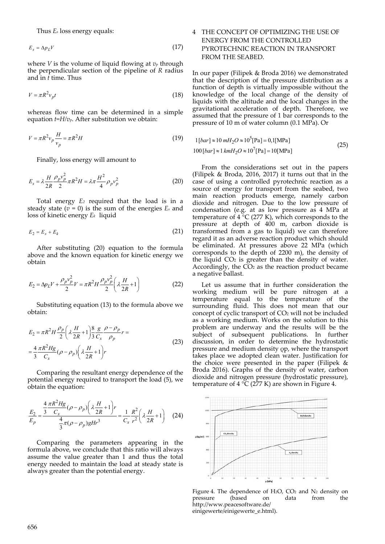Thus *Es* loss energy equals:

$$
E_s = \Delta p_L V \tag{17}
$$

where *V* is the volume of liquid flowing at *vp* through the perpendicular section of the pipeline of *R* radius and in *t* time. Thus

$$
V = \pi R^2 v_p t \tag{18}
$$

whereas flow time can be determined in a simple equation  $t=H/v_p$ . After substitution we obtain:

$$
V = \pi R^2 v_p \frac{H}{v_p} = \pi R^2 H \tag{19}
$$

Finally, loss energy will amount to

$$
E_s = \lambda \frac{H}{2R} \frac{\rho_p v_p^2}{2} \pi R^2 H = \lambda \pi \frac{H^2}{4} \rho_p v_p^2
$$
 (20)

Total energy *E2* required that the load is in a steady state  $(v = 0)$  is the sum of the energies  $E_s$  and loss of kinetic energy  $E_k$  liquid

$$
E_2 = E_s + E_k \tag{21}
$$

After substituting (20) equation to the formula above and the known equation for kinetic energy we obtain

$$
E_2 = \Delta p_L V + \frac{\rho_p v_p^2}{2} V = \pi R^2 H \frac{\rho_p v_p^2}{2} \left(\lambda \frac{H}{2R} + 1\right)
$$
(22)

Substituting equation (13) to the formula above we obtain:

$$
E_2 = \pi R^2 H \frac{\rho_p}{2} \left( \lambda \frac{H}{2R} + 1 \right) \frac{8}{3} \frac{g}{C_x} \frac{\rho - \rho_p}{\rho_p} r =
$$
  

$$
= \frac{4}{3} \frac{\pi R^2 Hg}{C_x} (\rho - \rho_p) \left( \lambda \frac{H}{2R} + 1 \right) r
$$
 (23)

Comparing the resultant energy dependence of the potential energy required to transport the load (5), we obtain the equation:

$$
\frac{E_2}{E_p} = \frac{\frac{4}{3} \frac{\pi R^2 Hg}{C_x} (\rho - \rho_p) \left(\lambda \frac{H}{2R} + 1\right) r}{\frac{4}{3} \pi (\rho - \rho_p) g H r^3} = \frac{1}{C_x} \frac{R^2}{r^2} \left(\lambda \frac{H}{2R} + 1\right) \tag{24}
$$

Comparing the parameters appearing in the formula above, we conclude that this ratio will always assume the value greater than 1 and thus the total energy needed to maintain the load at steady state is always greater than the potential energy.

# 4 THE CONCEPT OF OPTIMIZING THE USE OF ENERGY FROM THE CONTROLLED PYROTECHNIC REACTION IN TRANSPORT FROM THE SEABED.

In our paper (Filipek & Broda 2016) we demonstrated that the description of the pressure distribution as a function of depth is virtually impossible without the knowledge of the local change of the density of liquids with the altitude and the local changes in the gravitational acceleration of depth. Therefore, we assumed that the pressure of 1 bar corresponds to the pressure of 10 m of water column (0.1 MPa). Or

$$
1[bar] \approx 10 \, mH_2O \approx 10^5[\text{Pa}] = 0,1[\text{MPa}]
$$
  
100[bar] \approx 1 kmH\_2O \approx 10^7[\text{Pa}] = 10[\text{MPa}] (25)

From the considerations set out in the papers (Filipek & Broda, 2016, 2017) it turns out that in the case of using a controlled pyrotechnic reaction as a source of energy for transport from the seabed, two main reaction products emerge, namely carbon dioxide and nitrogen. Due to the low pressure of condensation (e.g. at as low pressure as 4 MPa at temperature of 4 °C (277 K), which corresponds to the pressure at depth of 400 m, carbon dioxide is transformed from a gas to liquid) we can therefore regard it as an adverse reaction product which should be eliminated. At pressures above 22 MPa (which corresponds to the depth of 2200 m), the density of the liquid CO2 is greater than the density of water. Accordingly, the  $CO<sub>2</sub>$  as the reaction product became a negative ballast.

Let us assume that in further consideration the working medium will be pure nitrogen at a temperature equal to the temperature of the surrounding fluid. This does not mean that our concept of cyclic transport of CO2 will not be included as a working medium. Works on the solution to this problem are underway and the results will be the subject of subsequent publications. In further discussion, in order to determine the hydrostatic pressure and medium density ρp, where the transport takes place we adopted clean water. Justification for the choice were presented in the paper (Filipek & Broda 2016). Graphs of the density of water, carbon dioxide and nitrogen pressure (hydrostatic pressure), temperature of  $4 \text{°C}$  (277 K) are shown in Figure 4.



Figure 4. The dependence of H<sub>2</sub>O, CO<sub>2</sub> and N<sub>2</sub> density on pressure (based on data from the pressure http://www.peacesoftware.de/ einigewerte/einigewerte\_e.html).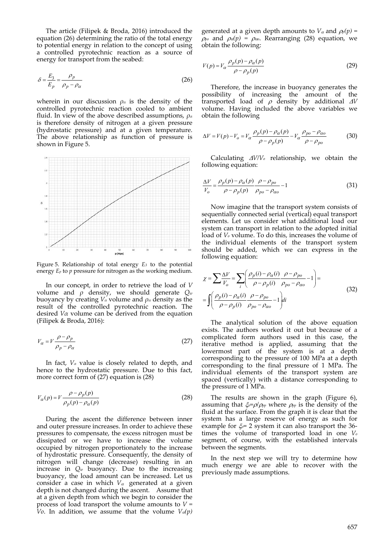The article (Filipek & Broda, 2016) introduced the equation (26) determining the ratio of the total energy to potential energy in relation to the concept of using a controlled pyrotechnic reaction as a source of energy for transport from the seabed:

$$
\delta = \frac{E_3}{E_p} = \frac{\rho_p}{\rho_p - \rho_\alpha} \tag{26}
$$

wherein in our discussion  $\rho_{\alpha}$  is the density of the controlled pyrotechnic reaction cooled to ambient fluid. In view of the above described assumptions, *ρα* is therefore density of nitrogen at a given pressure (hydrostatic pressure) and at a given temperature. The above relationship as function of pressure is shown in Figure 5.



Figure 5. Relationship of total energy *E3* to the potential energy *Ep* to *p* pressure for nitrogen as the working medium.

In our concept, in order to retrieve the load of *V* volume and *ρ* density, we should generate *Qw* buoyancy by creating *V<sup>α</sup>* volume and *ρα* density as the result of the controlled pyrotechnic reaction. The desired *Vα* volume can be derived from the equation (Filipek & Broda, 2016):

$$
V_{\alpha} = V \frac{\rho - \rho_p}{\rho_p - \rho_{\alpha}}
$$
\n(27)

In fact, *V<sup>α</sup>* value is closely related to depth, and hence to the hydrostatic pressure. Due to this fact, more correct form of (27) equation is (28)

$$
V_{\alpha}(p) = V \frac{\rho - \rho_p(p)}{\rho_p(p) - \rho_{\alpha}(p)}
$$
\n(28)

During the ascent the difference between inner and outer pressure increases. In order to achieve these pressures to compensate, the excess nitrogen must be dissipated or we have to increase the volume occupied by nitrogen proportionately to the increase of hydrostatic pressure. Consequently, the density of nitrogen will change (decrease) resulting in an increase in *Qw* buoyancy. Due to the increasing buoyancy, the load amount can be increased. Let us consider a case in which  $V_{\alpha}$  generated at a given depth is not changed during the ascent. Assume that at a given depth from which we begin to consider the process of load transport the volume amounts to *V =*  $\bar{V}$ *o*. In addition, we assume that the volume  $V_a(p)$ 

generated at a given depth amounts to  $V_\alpha$  and  $\rho_p(p)$  =  $\rho_{\text{po}}$  and  $\rho_{\alpha}(p) = \rho_{\alpha}$ . Rearranging (28) equation, we obtain the following:

$$
V(p) = V_{\alpha} \frac{\rho_p(p) - \rho_{\alpha}(p)}{\rho - \rho_p(p)}\tag{29}
$$

Therefore, the increase in buoyancy generates the possibility of increasing the amount of the transported load of  $\rho$  density by additional  $\Delta V$ volume. Having included the above variables we obtain the following

$$
\Delta V = V(p) - V_o = V_\alpha \frac{\rho_p(p) - \rho_\alpha(p)}{\rho - \rho_p(p)} - V_\alpha \frac{\rho_{po} - \rho_{\alpha o}}{\rho - \rho_{po}}
$$
(30)

Calculating  $\Delta V/V_0$  relationship, we obtain the following equation:

$$
\frac{\Delta V}{V_o} = \frac{\rho_p(p) - \rho_\alpha(p)}{\rho - \rho_p(p)} \frac{\rho - \rho_{po}}{\rho_{po} - \rho_{ao}} - 1
$$
\n(31)

Now imagine that the transport system consists of sequentially connected serial (vertical) equal transport elements. Let us consider what additional load our system can transport in relation to the adopted initial load of *Vo* volume. To do this, increases the volume of the individual elements of the transport system should be added, which we can express in the following equation:

$$
\chi = \sum \frac{\Delta V}{V_o} = \sum_{i} \left( \frac{\rho_p(i) - \rho_\alpha(i)}{\rho - \rho_p(i)} \frac{\rho - \rho_{po}}{\rho_{po} - \rho_{ao}} - 1 \right) =
$$
  
= 
$$
\int \left( \frac{\rho_p(i) - \rho_\alpha(i)}{\rho - \rho_p(i)} \frac{\rho - \rho_{po}}{\rho_{po} - \rho_{ao}} - 1 \right) di
$$
 (32)

The analytical solution of the above equation exists. The authors worked it out but because of a complicated form authors used in this case, the iterative method is applied, assuming that the lowermost part of the system is at a depth corresponding to the pressure of 100 MPa at a depth corresponding to the final pressure of 1 MPa. The individual elements of the transport system are spaced (vertically) with a distance corresponding to the pressure of 1 MPa.

The results are shown in the graph (Figure 6), assuming that  $\zeta = \frac{\rho}{\rho_p}$  where  $\rho_p$  is the density of the fluid at the surface. From the graph it is clear that the system has a large reserve of energy as such for example for  $\zeta = 2$  system it can also transport the 36times the volume of transported load in one *Vo* segment, of course, with the established intervals between the segments.

In the next step we will try to determine how much energy we are able to recover with the previously made assumptions.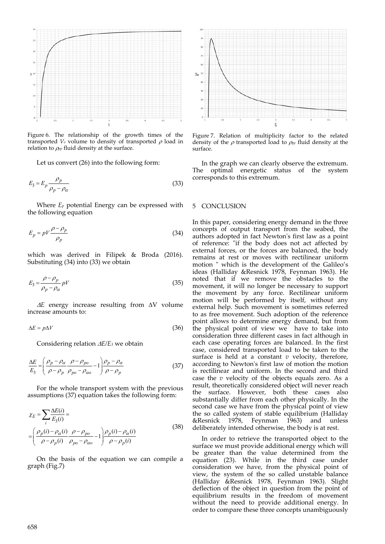

Figure 6. The relationship of the growth times of the transported  $V_0$  volume to density of transported  $\rho$  load in relation to  $\rho_{pp}$  fluid density at the surface.

Let us convert (26) into the following form:

$$
E_3 = E_p \frac{\rho_p}{\rho_p - \rho_\alpha} \tag{33}
$$

Where *Ep* potential Energy can be expressed with the following equation

$$
E_p = pV \frac{\rho - \rho_p}{\rho_p} \tag{34}
$$

which was derived in Filipek & Broda (2016). Substituting (34) into (33) we obtain

$$
E_3 = \frac{\rho - \rho_p}{\rho_p - \rho_\alpha} pV
$$
\n(35)

 $\Delta E$  energy increase resulting from  $\Delta V$  volume increase amounts to:

$$
\Delta E = p \Delta V \tag{36}
$$

Considering relation *E/E3* we obtain

$$
\frac{\Delta E}{E_3} = \left(\frac{\rho_p - \rho_\alpha}{\rho - \rho_p} \frac{\rho - \rho_{po}}{\rho_{po} - \rho_{ao}} - 1\right) \frac{\rho_p - \rho_\alpha}{\rho - \rho_p} \tag{37}
$$

For the whole transport system with the previous assumptions (37) equation takes the following form:

$$
\chi_E = \sum_i \frac{\Delta E(i)}{E_3(i)} = \left(\frac{\rho_p(i) - \rho_\alpha(i)}{\rho - \rho_p(i)} \frac{\rho - \rho_{po}}{\rho_{po} - \rho_{ao}} - 1\right) \frac{\rho_p(i) - \rho_\alpha(i)}{\rho - \rho_p(i)} \tag{38}
$$

On the basis of the equation we can compile a graph (Fig.7)



Figure 7. Relation of multiplicity factor to the related density of the  $\rho$  transported load to  $\rho_{pp}$  fluid density at the surface.

In the graph we can clearly observe the extremum. The optimal energetic status of the system corresponds to this extremum.

#### 5 CONCLUSION

In this paper, considering energy demand in the three concepts of output transport from the seabed, the authors adopted in fact Newtonʹs first law as a point of reference: "if the body does not act affected by external forces, or the forces are balanced, the body remains at rest or moves with rectilinear uniform motion " which is the development of the Galileo's ideas (Halliday &Resnick 1978, Feynman 1963). He noted that if we remove the obstacles to the movement, it will no longer be necessary to support the movement by any force. Rectilinear uniform motion will be performed by itself, without any external help. Such movement is sometimes referred to as free movement. Such adoption of the reference point allows to determine energy demand, but from the physical point of view we have to take into consideration three different cases in fact although in each case operating forces are balanced. In the first case, considered transported load to be taken to the surface is held at a constant *v* velocity, therefore, according to Newtonʹs first law of motion the motion is rectilinear and uniform. In the second and third case the *v* velocity of the objects equals zero. As a result, theoretically considered object will never reach the surface. However, both these cases also substantially differ from each other physically. In the second case we have from the physical point of view the so called system of stable equilibrium (Halliday &Resnick 1978, Feynman 1963) and unless deliberately intended otherwise, the body is at rest.

In order to retrieve the transported object to the surface we must provide additional energy which will be greater than the value determined from the equation (23). While in the third case under consideration we have, from the physical point of view, the system of the so called unstable balance (Halliday &Resnick 1978, Feynman 1963). Slight deflection of the object in question from the point of equilibrium results in the freedom of movement without the need to provide additional energy. In order to compare these three concepts unambiguously